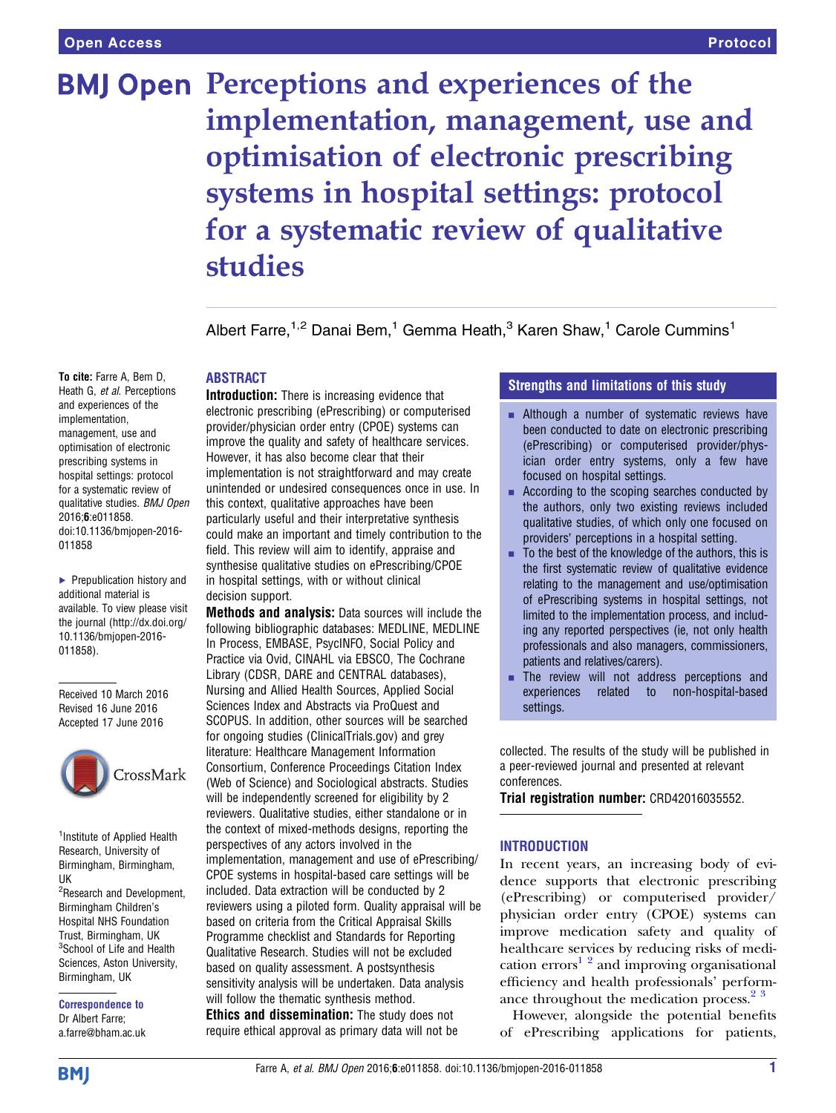# **BMJ Open Perceptions and experiences of the** implementation, management, use and optimisation of electronic prescribing systems in hospital settings: protocol for a systematic review of qualitative studies

Albert Farre,<sup>1,2</sup> Danai Bem,<sup>1</sup> Gemma Heath,<sup>3</sup> Karen Shaw,<sup>1</sup> Carole Cummins<sup>1</sup>

## ABSTRACT

To cite: Farre A, Bem D, Heath G, et al. Perceptions and experiences of the implementation, management, use and optimisation of electronic prescribing systems in hospital settings: protocol for a systematic review of qualitative studies. BMJ Open 2016;6:e011858. doi:10.1136/bmjopen-2016- 011858

▶ Prepublication history and additional material is available. To view please visit the journal [\(http://dx.doi.org/](http://dx.doi.org/10.1136/bmjopen-2016-011858) [10.1136/bmjopen-2016-](http://dx.doi.org/10.1136/bmjopen-2016-011858) [011858\)](http://dx.doi.org/10.1136/bmjopen-2016-011858).

Received 10 March 2016 Revised 16 June 2016 Accepted 17 June 2016



<sup>1</sup> Institute of Applied Health Research, University of Birmingham, Birmingham, UK <sup>2</sup>Research and Development, Birmingham Children's Hospital NHS Foundation Trust, Birmingham, UK <sup>3</sup>School of Life and Health Sciences, Aston University, Birmingham, UK

Correspondence to Dr Albert Farre; a.farre@bham.ac.uk Introduction: There is increasing evidence that electronic prescribing (ePrescribing) or computerised provider/physician order entry (CPOE) systems can improve the quality and safety of healthcare services. However, it has also become clear that their implementation is not straightforward and may create unintended or undesired consequences once in use. In this context, qualitative approaches have been particularly useful and their interpretative synthesis could make an important and timely contribution to the field. This review will aim to identify, appraise and synthesise qualitative studies on ePrescribing/CPOE in hospital settings, with or without clinical decision support.

Methods and analysis: Data sources will include the following bibliographic databases: MEDLINE, MEDLINE In Process, EMBASE, PsycINFO, Social Policy and Practice via Ovid, CINAHL via EBSCO, The Cochrane Library (CDSR, DARE and CENTRAL databases), Nursing and Allied Health Sources, Applied Social Sciences Index and Abstracts via ProQuest and SCOPUS. In addition, other sources will be searched for ongoing studies (ClinicalTrials.gov) and grey literature: Healthcare Management Information Consortium, Conference Proceedings Citation Index (Web of Science) and Sociological abstracts. Studies will be independently screened for eligibility by 2 reviewers. Qualitative studies, either standalone or in the context of mixed-methods designs, reporting the perspectives of any actors involved in the implementation, management and use of ePrescribing/ CPOE systems in hospital-based care settings will be included. Data extraction will be conducted by 2 reviewers using a piloted form. Quality appraisal will be based on criteria from the Critical Appraisal Skills Programme checklist and Standards for Reporting Qualitative Research. Studies will not be excluded based on quality assessment. A postsynthesis sensitivity analysis will be undertaken. Data analysis will follow the thematic synthesis method.

**Ethics and dissemination:** The study does not require ethical approval as primary data will not be

## Strengths and limitations of this study

- $\blacksquare$  Although a number of systematic reviews have been conducted to date on electronic prescribing (ePrescribing) or computerised provider/physician order entry systems, only a few have focused on hospital settings.
- $\blacksquare$  According to the scoping searches conducted by the authors, only two existing reviews included qualitative studies, of which only one focused on providers' perceptions in a hospital setting.
- $\blacksquare$  To the best of the knowledge of the authors, this is the first systematic review of qualitative evidence relating to the management and use/optimisation of ePrescribing systems in hospital settings, not limited to the implementation process, and including any reported perspectives (ie, not only health professionals and also managers, commissioners, patients and relatives/carers).
- The review will not address perceptions and experiences related to non-hospital-based settings.

collected. The results of the study will be published in a peer-reviewed journal and presented at relevant conferences.

Trial registration number: CRD42016035552.

## **INTRODUCTION**

In recent years, an increasing body of evidence supports that electronic prescribing (ePrescribing) or computerised provider/ physician order entry (CPOE) systems can improve medication safety and quality of healthcare services by reducing risks of medication errors $1<sup>2</sup>$  and improving organisational efficiency and health professionals' performance throughout the medication process. $2^3$ 

However, alongside the potential benefits of ePrescribing applications for patients,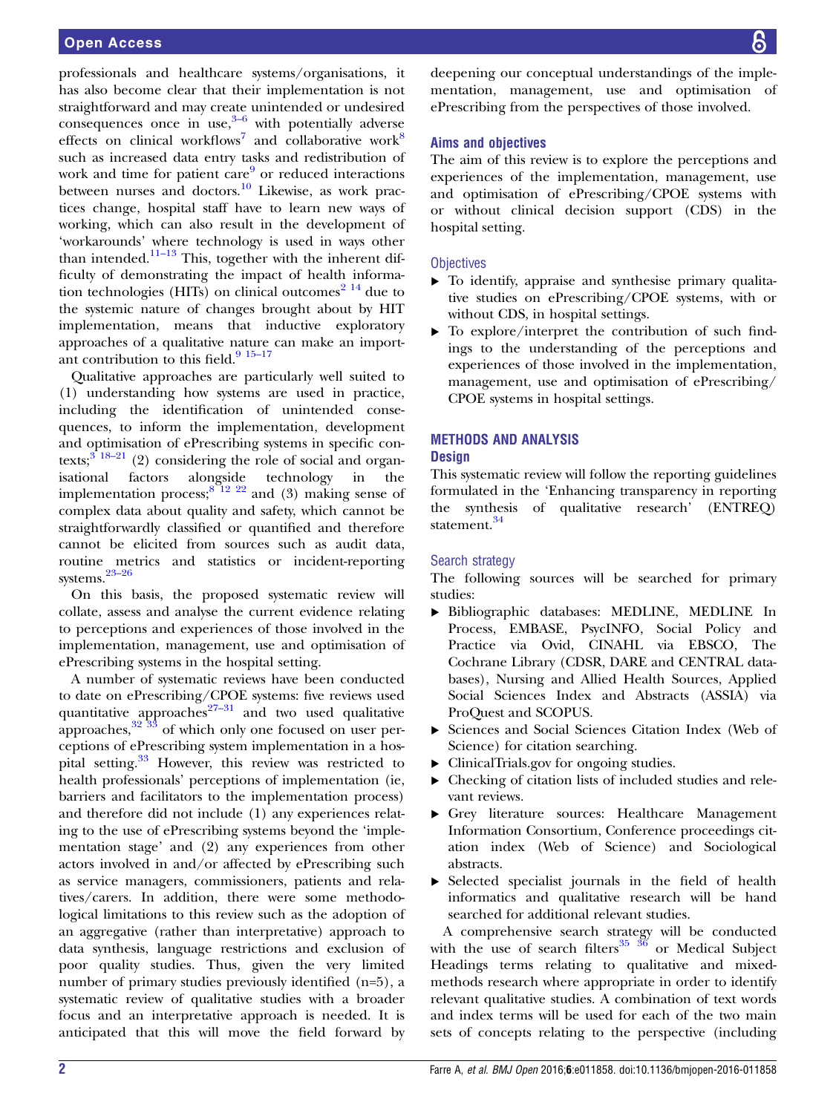professionals and healthcare systems/organisations, it has also become clear that their implementation is not straightforward and may cre[ate](#page-4-0) unintended or undesired consequences once in use, $3-6$  with potentially adverse effects on clinical workflows<sup>[7](#page-4-0)</sup> and collaborative work<sup>[8](#page-4-0)</sup> such as increased data entry tasks and redistribution of work and time for patient care<sup>[9](#page-4-0)</sup> or reduced interactions between nurses and doctors.<sup>[10](#page-4-0)</sup> Likewise, as work practices change, hospital staff have to learn new ways of working, which can also result in the development of 'workarounds' where technology is used in ways other than intended.<sup>11–[13](#page-4-0)</sup> This, together with the inherent difficulty of demonstrating the impact of health information technologies (HITs) on clinical outcomes $^{2}$  <sup>14</sup> due to the systemic nature of changes brought about by HIT implementation, means that inductive exploratory approaches of a qualitative nature can make an important contribution to this field. $9^{15-17}$  $9^{15-17}$  $9^{15-17}$  $9^{15-17}$ 

Qualitative approaches are particularly well suited to (1) understanding how systems are used in practice, including the identification of unintended consequences, to inform the implementation, development and optimisation of ePrescribing systems in specific contexts; $3 \times 18-21$  $3 \times 18-21$  $3 \times 18-21$  $3 \times 18-21$  (2) considering the role of social and organisational factors alongside technology in the implementation process;  $8^{12}$   $22$  and (3) making sense of complex data about quality and safety, which cannot be straightforwardly classified or quantified and therefore cannot be elicited from sources such as audit data, routine metrics and statistics or incident-reporting systems.[23](#page-5-0)–<sup>26</sup>

On this basis, the proposed systematic review will collate, assess and analyse the current evidence relating to perceptions and experiences of those involved in the implementation, management, use and optimisation of ePrescribing systems in the hospital setting.

A number of systematic reviews have been conducted to date on ePrescribing/CPOE systems: five reviews used quantitative approaches<sup>27–[31](#page-5-0)</sup> and two used qualitative approaches,  $32 \frac{33}{33}$  of which only one focused on user perceptions of ePrescribing system implementation in a hos-pital setting.<sup>[33](#page-5-0)</sup> However, this review was restricted to health professionals' perceptions of implementation (ie, barriers and facilitators to the implementation process) and therefore did not include (1) any experiences relating to the use of ePrescribing systems beyond the 'implementation stage' and (2) any experiences from other actors involved in and/or affected by ePrescribing such as service managers, commissioners, patients and relatives/carers. In addition, there were some methodological limitations to this review such as the adoption of an aggregative (rather than interpretative) approach to data synthesis, language restrictions and exclusion of poor quality studies. Thus, given the very limited number of primary studies previously identified (n=5), a systematic review of qualitative studies with a broader focus and an interpretative approach is needed. It is anticipated that this will move the field forward by deepening our conceptual understandings of the implementation, management, use and optimisation of ePrescribing from the perspectives of those involved.

#### Aims and objectives

The aim of this review is to explore the perceptions and experiences of the implementation, management, use and optimisation of ePrescribing/CPOE systems with or without clinical decision support (CDS) in the hospital setting.

#### **Objectives**

- ▸ To identify, appraise and synthesise primary qualitative studies on ePrescribing/CPOE systems, with or without CDS, in hospital settings.
- ▸ To explore/interpret the contribution of such findings to the understanding of the perceptions and experiences of those involved in the implementation, management, use and optimisation of ePrescribing/ CPOE systems in hospital settings.

### METHODS AND ANALYSIS **Design**

This systematic review will follow the reporting guidelines formulated in the 'Enhancing transparency in reporting the synthesis of qualitative research' (ENTREQ) statement.<sup>[34](#page-5-0)</sup>

### Search strategy

The following sources will be searched for primary studies:

- ▸ Bibliographic databases: MEDLINE, MEDLINE In Process, EMBASE, PsycINFO, Social Policy and Practice via Ovid, CINAHL via EBSCO, The Cochrane Library (CDSR, DARE and CENTRAL databases), Nursing and Allied Health Sources, Applied Social Sciences Index and Abstracts (ASSIA) via ProQuest and SCOPUS.
- ▸ Sciences and Social Sciences Citation Index (Web of Science) for citation searching.
- ▸ ClinicalTrials.gov for ongoing studies.
- ▸ Checking of citation lists of included studies and relevant reviews.
- ▸ Grey literature sources: Healthcare Management Information Consortium, Conference proceedings citation index (Web of Science) and Sociological abstracts.
- ▸ Selected specialist journals in the field of health informatics and qualitative research will be hand searched for additional relevant studies.

A comprehensive search strategy will be conducted with the use of search filters $35\frac{36}{10}$  or Medical Subject Headings terms relating to qualitative and mixedmethods research where appropriate in order to identify relevant qualitative studies. A combination of text words and index terms will be used for each of the two main sets of concepts relating to the perspective (including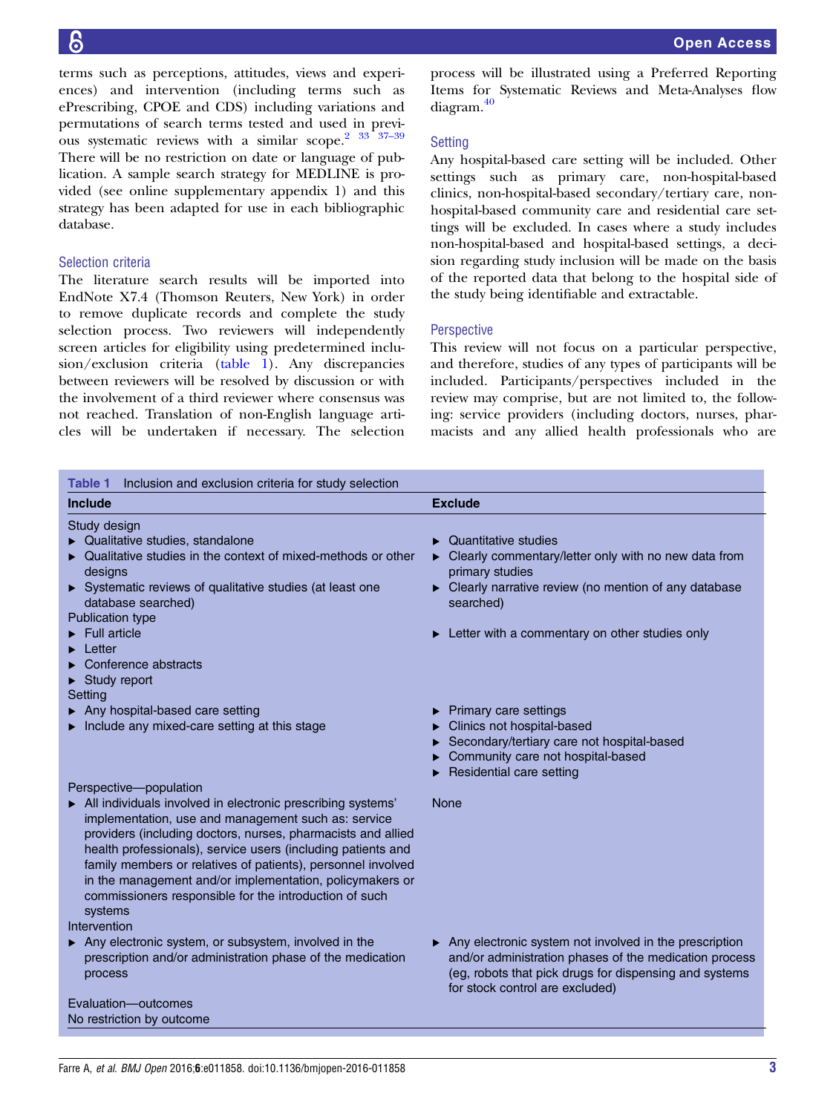terms such as perceptions, attitudes, views and experiences) and intervention (including terms such as ePrescribing, CPOE and CDS) including variations and permutations of search terms tested and used in previous systematic reviews with a similar scope.<sup>2</sup> 33<sup>-37</sup>-39 There will be no restriction on date or language of publication. A sample search strategy for MEDLINE is provided (see online [supplementary appendix](http://dx.doi.org/10.1136/bmjopen-2016-011858) 1) and this strategy has been adapted for use in each bibliographic database.

#### Selection criteria

The literature search results will be imported into EndNote X7.4 (Thomson Reuters, New York) in order to remove duplicate records and complete the study selection process. Two reviewers will independently screen articles for eligibility using predetermined inclusion/exclusion criteria (table 1). Any discrepancies between reviewers will be resolved by discussion or with the involvement of a third reviewer where consensus was not reached. Translation of non-English language articles will be undertaken if necessary. The selection

process will be illustrated using a Preferred Reporting Items for Systematic Reviews and Meta-Analyses flow diagram.[40](#page-5-0)

#### **Setting**

Any hospital-based care setting will be included. Other settings such as primary care, non-hospital-based clinics, non-hospital-based secondary/tertiary care, nonhospital-based community care and residential care settings will be excluded. In cases where a study includes non-hospital-based and hospital-based settings, a decision regarding study inclusion will be made on the basis of the reported data that belong to the hospital side of the study being identifiable and extractable.

#### **Perspective**

This review will not focus on a particular perspective, and therefore, studies of any types of participants will be included. Participants/perspectives included in the review may comprise, but are not limited to, the following: service providers (including doctors, nurses, pharmacists and any allied health professionals who are

| Inclusion and exclusion criteria for study selection<br>Table 1                                                                                                                                                                                                                                                                                                                                                                                                                               |                                                                                                                                                                                                                                                |
|-----------------------------------------------------------------------------------------------------------------------------------------------------------------------------------------------------------------------------------------------------------------------------------------------------------------------------------------------------------------------------------------------------------------------------------------------------------------------------------------------|------------------------------------------------------------------------------------------------------------------------------------------------------------------------------------------------------------------------------------------------|
| <b>Include</b>                                                                                                                                                                                                                                                                                                                                                                                                                                                                                | <b>Exclude</b>                                                                                                                                                                                                                                 |
| Study design<br>• Qualitative studies, standalone<br>Qualitative studies in the context of mixed-methods or other<br>designs<br>Systematic reviews of qualitative studies (at least one<br>database searched)<br><b>Publication type</b><br>$\blacktriangleright$ Full article<br>Letter<br>Conference abstracts<br>$\triangleright$ Study report                                                                                                                                             | Quantitative studies<br>Clearly commentary/letter only with no new data from<br>ь<br>primary studies<br>• Clearly narrative review (no mention of any database<br>searched)<br>$\triangleright$ Letter with a commentary on other studies only |
| Setting<br>Any hospital-based care setting<br>Include any mixed-care setting at this stage                                                                                                                                                                                                                                                                                                                                                                                                    | $\blacktriangleright$ Primary care settings<br>Clinics not hospital-based<br>▶ Secondary/tertiary care not hospital-based<br>Community care not hospital-based<br>Residential care setting                                                     |
| Perspective-population<br>All individuals involved in electronic prescribing systems'<br>implementation, use and management such as: service<br>providers (including doctors, nurses, pharmacists and allied<br>health professionals), service users (including patients and<br>family members or relatives of patients), personnel involved<br>in the management and/or implementation, policymakers or<br>commissioners responsible for the introduction of such<br>systems<br>Intervention | <b>None</b>                                                                                                                                                                                                                                    |
| Any electronic system, or subsystem, involved in the<br>prescription and/or administration phase of the medication<br>process<br>Evaluation-outcomes                                                                                                                                                                                                                                                                                                                                          | Any electronic system not involved in the prescription<br>and/or administration phases of the medication process<br>(eg, robots that pick drugs for dispensing and systems<br>for stock control are excluded)                                  |

No restriction by outcome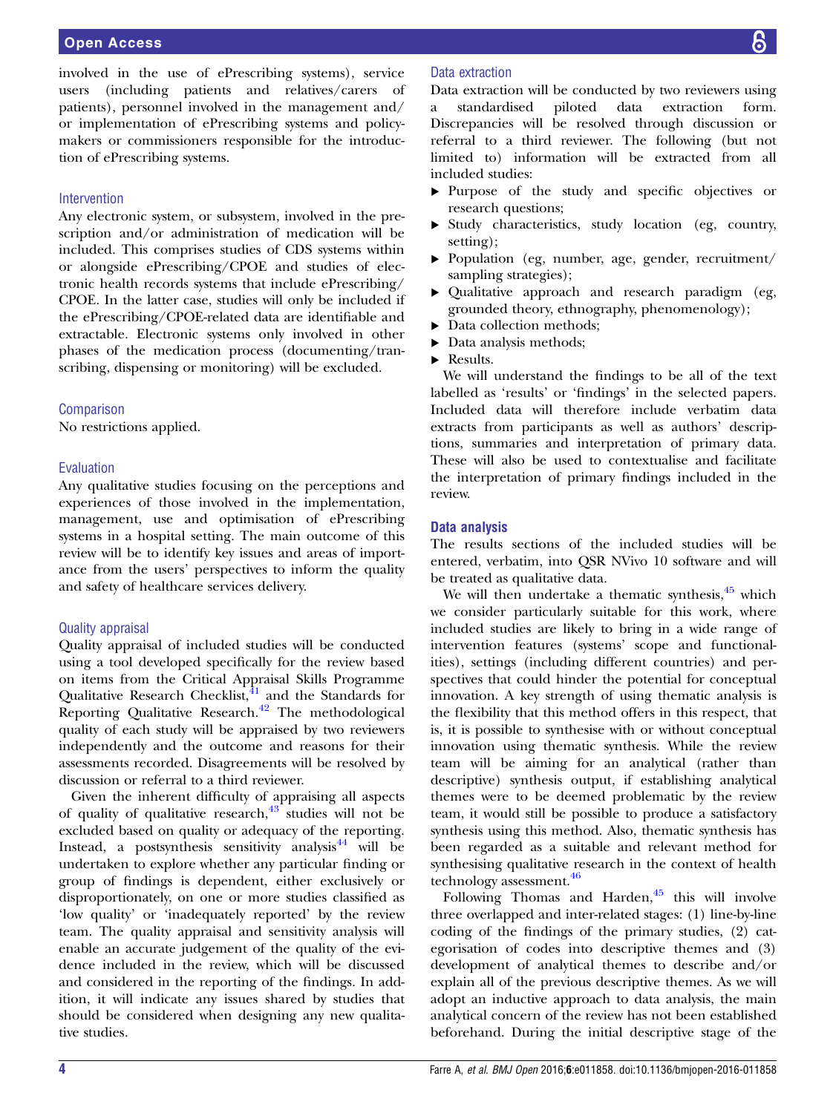involved in the use of ePrescribing systems), service users (including patients and relatives/carers of patients), personnel involved in the management and/ or implementation of ePrescribing systems and policymakers or commissioners responsible for the introduction of ePrescribing systems.

## Intervention

Any electronic system, or subsystem, involved in the prescription and/or administration of medication will be included. This comprises studies of CDS systems within or alongside ePrescribing/CPOE and studies of electronic health records systems that include ePrescribing/ CPOE. In the latter case, studies will only be included if the ePrescribing/CPOE-related data are identifiable and extractable. Electronic systems only involved in other phases of the medication process (documenting/transcribing, dispensing or monitoring) will be excluded.

## Comparison

No restrictions applied.

## Evaluation

Any qualitative studies focusing on the perceptions and experiences of those involved in the implementation, management, use and optimisation of ePrescribing systems in a hospital setting. The main outcome of this review will be to identify key issues and areas of importance from the users' perspectives to inform the quality and safety of healthcare services delivery.

## Quality appraisal

Quality appraisal of included studies will be conducted using a tool developed specifically for the review based on items from the Critical Appraisal Skills Programme Qualitative Research Checklist,<sup>[41](#page-5-0)</sup> and the Standards for Reporting Qualitative Research.<sup>[42](#page-5-0)</sup> The methodological quality of each study will be appraised by two reviewers independently and the outcome and reasons for their assessments recorded. Disagreements will be resolved by discussion or referral to a third reviewer.

Given the inherent difficulty of appraising all aspects of quality of qualitative research, $43$  studies will not be excluded based on quality or adequacy of the reporting. Instead, a postsynthesis sensitivity analysis $44$  will be undertaken to explore whether any particular finding or group of findings is dependent, either exclusively or disproportionately, on one or more studies classified as 'low quality' or 'inadequately reported' by the review team. The quality appraisal and sensitivity analysis will enable an accurate judgement of the quality of the evidence included in the review, which will be discussed and considered in the reporting of the findings. In addition, it will indicate any issues shared by studies that should be considered when designing any new qualitative studies.

## Data extraction

Data extraction will be conducted by two reviewers using standardised piloted data extraction form. Discrepancies will be resolved through discussion or referral to a third reviewer. The following (but not limited to) information will be extracted from all included studies:

- ▸ Purpose of the study and specific objectives or research questions;
- Study characteristics, study location (eg, country, setting);
- ▸ Population (eg, number, age, gender, recruitment/ sampling strategies);
- ▸ Qualitative approach and research paradigm (eg, grounded theory, ethnography, phenomenology);
- ▸ Data collection methods;
- ▸ Data analysis methods;
- ▸ Results.

We will understand the findings to be all of the text labelled as 'results' or 'findings' in the selected papers. Included data will therefore include verbatim data extracts from participants as well as authors' descriptions, summaries and interpretation of primary data. These will also be used to contextualise and facilitate the interpretation of primary findings included in the review.

## Data analysis

The results sections of the included studies will be entered, verbatim, into QSR NVivo 10 software and will be treated as qualitative data.

We will then undertake a thematic synthesis,  $45$  which we consider particularly suitable for this work, where included studies are likely to bring in a wide range of intervention features (systems' scope and functionalities), settings (including different countries) and perspectives that could hinder the potential for conceptual innovation. A key strength of using thematic analysis is the flexibility that this method offers in this respect, that is, it is possible to synthesise with or without conceptual innovation using thematic synthesis. While the review team will be aiming for an analytical (rather than descriptive) synthesis output, if establishing analytical themes were to be deemed problematic by the review team, it would still be possible to produce a satisfactory synthesis using this method. Also, thematic synthesis has been regarded as a suitable and relevant method for synthesising qualitative research in the context of health technology assessment.<sup>[46](#page-5-0)</sup>

Following Thomas and Harden, $45$  this will involve three overlapped and inter-related stages: (1) line-by-line coding of the findings of the primary studies, (2) categorisation of codes into descriptive themes and (3) development of analytical themes to describe and/or explain all of the previous descriptive themes. As we will adopt an inductive approach to data analysis, the main analytical concern of the review has not been established beforehand. During the initial descriptive stage of the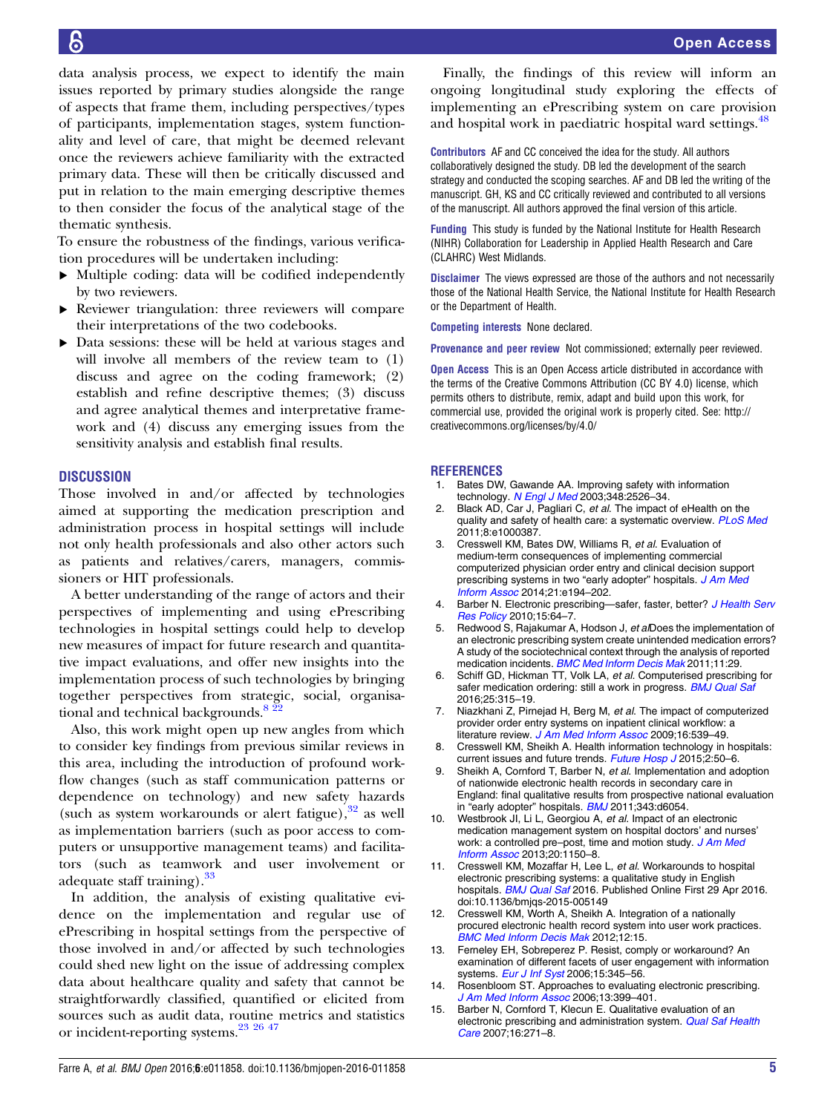<span id="page-4-0"></span>data analysis process, we expect to identify the main issues reported by primary studies alongside the range of aspects that frame them, including perspectives/types of participants, implementation stages, system functionality and level of care, that might be deemed relevant once the reviewers achieve familiarity with the extracted primary data. These will then be critically discussed and put in relation to the main emerging descriptive themes to then consider the focus of the analytical stage of the thematic synthesis.

To ensure the robustness of the findings, various verification procedures will be undertaken including:

- ▸ Multiple coding: data will be codified independently by two reviewers.
- ▸ Reviewer triangulation: three reviewers will compare their interpretations of the two codebooks.
- ▸ Data sessions: these will be held at various stages and will involve all members of the review team to  $(1)$ discuss and agree on the coding framework; (2) establish and refine descriptive themes; (3) discuss and agree analytical themes and interpretative framework and (4) discuss any emerging issues from the sensitivity analysis and establish final results.

### **DISCUSSION**

Those involved in and/or affected by technologies aimed at supporting the medication prescription and administration process in hospital settings will include not only health professionals and also other actors such as patients and relatives/carers, managers, commissioners or HIT professionals.

A better understanding of the range of actors and their perspectives of implementing and using ePrescribing technologies in hospital settings could help to develop new measures of impact for future research and quantitative impact evaluations, and offer new insights into the implementation process of such technologies by bringing together perspectives from strategic, social, organisational and technical backgrounds.<sup>82</sup>

Also, this work might open up new angles from which to consider key findings from previous similar reviews in this area, including the introduction of profound workflow changes (such as staff communication patterns or dependence on technology) and new safety hazards (such as system workarounds or alert fatigue), $32$  as well as implementation barriers (such as poor access to computers or unsupportive management teams) and facilitators (such as teamwork and user involvement or adequate staff training).<sup>[33](#page-5-0)</sup>

In addition, the analysis of existing qualitative evidence on the implementation and regular use of ePrescribing in hospital settings from the perspective of those involved in and/or affected by such technologies could shed new light on the issue of addressing complex data about healthcare quality and safety that cannot be straightforwardly classified, quantified or elicited from sources such as audit data, routine metrics and statistics or incident-reporting systems.<sup>23</sup> <sup>26</sup> <sup>47</sup>

Finally, the findings of this review will inform an ongoing longitudinal study exploring the effects of implementing an ePrescribing system on care provision and hospital work in paediatric hospital ward settings.<sup>[48](#page-5-0)</sup>

Contributors AF and CC conceived the idea for the study. All authors collaboratively designed the study. DB led the development of the search strategy and conducted the scoping searches. AF and DB led the writing of the manuscript. GH, KS and CC critically reviewed and contributed to all versions of the manuscript. All authors approved the final version of this article.

Funding This study is funded by the National Institute for Health Research (NIHR) Collaboration for Leadership in Applied Health Research and Care (CLAHRC) West Midlands.

Disclaimer The views expressed are those of the authors and not necessarily those of the National Health Service, the National Institute for Health Research or the Department of Health.

Competing interests None declared.

Provenance and peer review Not commissioned; externally peer reviewed.

Open Access This is an Open Access article distributed in accordance with the terms of the Creative Commons Attribution (CC BY 4.0) license, which permits others to distribute, remix, adapt and build upon this work, for commercial use, provided the original work is properly cited. See: [http://](http://creativecommons.org/licenses/by/4.0/) [creativecommons.org/licenses/by/4.0/](http://creativecommons.org/licenses/by/4.0/)

#### **REFERENCES**

- 1. Bates DW, Gawande AA. Improving safety with information technology. [N Engl J Med](http://dx.doi.org/10.1056/NEJMsa020847) 2003;348:2526-34.
- 2. Black AD, Car J, Pagliari C, et al. The impact of eHealth on the quality and safety of health care: a systematic overview. [PLoS Med](http://dx.doi.org/10.1371/journal.pmed.1000387) 2011;8:e1000387.
- 3. Cresswell KM, Bates DW, Williams R, et al. Evaluation of medium-term consequences of implementing commercial computerized physician order entry and clinical decision support prescribing systems in two "early adopter" hospitals. [J Am Med](http://dx.doi.org/10.1136/amiajnl-2013-002252) [Inform Assoc](http://dx.doi.org/10.1136/amiajnl-2013-002252) 2014;21:e194–202.
- 4. Barber N. Electronic prescribing—safer, faster, better? [J Health Serv](http://dx.doi.org/10.1258/jhsrp.2009.09s109) [Res Policy](http://dx.doi.org/10.1258/jhsrp.2009.09s109) 2010;15:64–7.
- 5. Redwood S, Rajakumar A, Hodson J, et alDoes the implementation of an electronic prescribing system create unintended medication errors? A study of the sociotechnical context through the analysis of reported medication incidents. **[BMC Med Inform Decis Mak](http://dx.doi.org/10.1186/1472-6947-11-29) 2011**;11:29.
- 6. Schiff GD, Hickman TT, Volk LA, et al. Computerised prescribing for safer medication ordering: still a work in progress. **BMJ Qual Sate** 2016;25:315–19.
- 7. Niazkhani Z, Pirnejad H, Berg M, et al. The impact of computerized provider order entry systems on inpatient clinical workflow: a literature review. [J Am Med Inform Assoc](http://dx.doi.org/10.1197/jamia.M2419) 2009;16:539-49.
- 8. Cresswell KM, Sheikh A. Health information technology in hospitals: current issues and future trends. [Future Hosp J](http://dx.doi.org/doi:10.7861/futurehosp.15.015) 2015;2:50-6.
- Sheikh A, Cornford T, Barber N, et al. Implementation and adoption of nationwide electronic health records in secondary care in England: final qualitative results from prospective national evaluation in "early adopter" hospitals. **[BMJ](http://dx.doi.org/10.1136/bmj.d6054)** 2011;343:d6054.
- 10. Westbrook JI, Li L, Georgiou A, et al. Impact of an electronic medication management system on hospital doctors' and nurses' work: a controlled pre-post, time and motion study. [J Am Med](http://dx.doi.org/10.1136/amiajnl-2012-001414) [Inform Assoc](http://dx.doi.org/10.1136/amiajnl-2012-001414) 2013;20:1150–8.
- 11. Cresswell KM, Mozaffar H, Lee L, et al. Workarounds to hospital electronic prescribing systems: a qualitative study in English hospitals. [BMJ Qual Saf](http://dx.doi.org/doi:10.1136/bmjqs-2015-005149) 2016. Published Online First 29 Apr 2016. [doi:10.1136/bmjqs-2015-005149](http://dx.doi.org/doi:10.1136/bmjqs-2015-005149)
- 12. Cresswell KM, Worth A, Sheikh A. Integration of a nationally procured electronic health record system into user work practices. **[BMC Med Inform Decis Mak](http://dx.doi.org/10.1186/1472-6947-12-15) 2012;12:15.**
- 13. Ferneley EH, Sobreperez P. Resist, comply or workaround? An examination of different facets of user engagement with information systems. Eur J [Inf Syst](http://dx.doi.org/10.1057/palgrave.ejis.3000629) 2006;15:345-56.
- 14. Rosenbloom ST. Approaches to evaluating electronic prescribing. [J Am Med Inform Assoc](http://dx.doi.org/10.1197/jamia.M2122) 2006;13:399–401.
- 15. Barber N, Cornford T, Klecun E. Qualitative evaluation of an electronic prescribing and administration system. [Qual Saf Health](http://dx.doi.org/10.1136/qshc.2006.019505) [Care](http://dx.doi.org/10.1136/qshc.2006.019505) 2007;16:271–8.